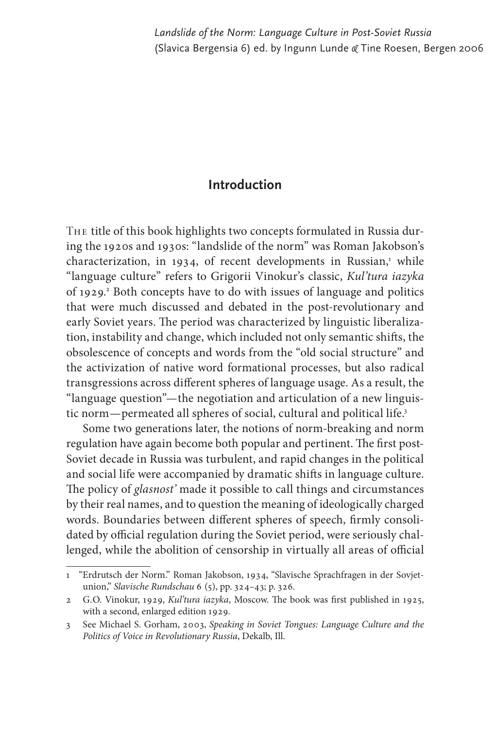## **Introduction**

The title of this book highlights two concepts formulated in Russia during the 1920s and 1930s: "landslide of the norm" was Roman Jakobson's characterization, in 1934, of recent developments in Russian,<sup>1</sup> while "language culture" refers to Grigorii Vinokur's classic, *Kul'tura iazyka* of 1929.<sup>2</sup> Both concepts have to do with issues of language and politics that were much discussed and debated in the post-revolutionary and early Soviet years. The period was characterized by linguistic liberalization, instability and change, which included not only semantic shifts, the obsolescence of concepts and words from the "old social structure" and the activization of native word formational processes, but also radical transgressions across different spheres of language usage. As a result, the "language question"— the negotiation and articulation of a new linguistic norm-permeated all spheres of social, cultural and political life.<sup>3</sup>

Some two generations later, the notions of norm-breaking and norm regulation have again become both popular and pertinent. The first post-Soviet decade in Russia was turbulent, and rapid changes in the political and social life were accompanied by dramatic shifts in language culture. The policy of *glasnost*' made it possible to call things and circumstances by their real names, and to question the meaning of ideologically charged words. Boundaries between different spheres of speech, firmly consolidated by official regulation during the Soviet period, were seriously challenged, while the abolition of censorship in virtually all areas of official

<sup>1 &</sup>quot;Erdrutsch der Norm." Roman Jakobson, 1934, "Slavische Sprachfragen in der Sovjetunion," *Slavische Rundschau* 6 (5), pp. 324–43; p. 326.

<sup>2</sup> G.O. Vinokur, 1929, *Kul'tura iazyka*, Moscow. The book was first published in 1925, with a second, enlarged edition 1929.

<sup>3</sup> See Michael S. Gorham, 2003, *Speaking in Soviet Tongues: Language Culture and the Politics of Voice in Revolutionary Russia*, Dekalb, Ill.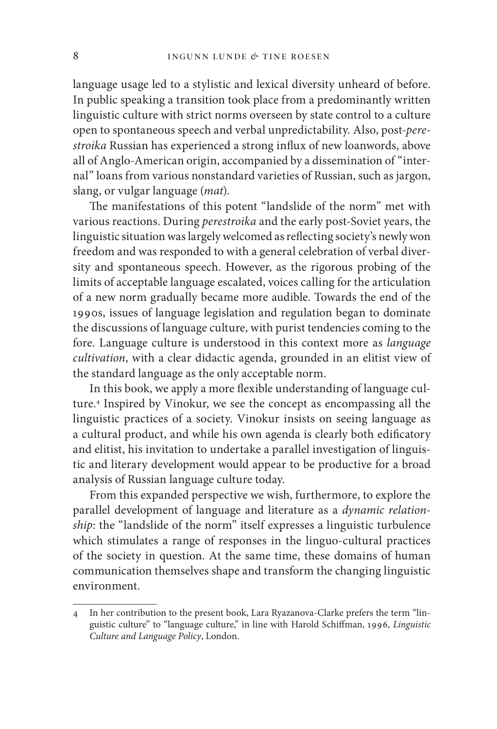language usage led to a stylistic and lexical diversity unheard of before. In public speaking a transition took place from a predominantly written linguistic culture with strict norms overseen by state control to a culture open to spontaneous speech and verbal unpredictability. Also, post-*pere*stroika Russian has experienced a strong influx of new loanwords, above all of Anglo-American origin, accompanied by a dissemination of "internal" loans from various nonstandard varieties of Russian, such as jargon, slang, or vulgar language (*mat*).

The manifestations of this potent "landslide of the norm" met with various reactions. During *perestroika* and the early post-Soviet years, the linguistic situation was largely welcomed as reflecting society's newly won freedom and was responded to with a general celebration of verbal diversity and spontaneous speech. However, as the rigorous probing of the limits of acceptable language escalated, voices calling for the articulation of a new norm gradually became more audible. Towards the end of the 1990s, issues of language legislation and regulation began to dominate the discussions of language culture, with purist tendencies coming to the fore. Language culture is understood in this context more as *language cultivation*, with a clear didactic agenda, grounded in an elitist view of the standard language as the only acceptable norm.

In this book, we apply a more flexible understanding of language culture.4 Inspired by Vinokur, we see the concept as encompassing all the linguistic practices of a society. Vinokur insists on seeing language as a cultural product, and while his own agenda is clearly both edificatory and elitist, his invitation to undertake a parallel investigation of linguistic and literary development would appear to be productive for a broad analysis of Russian language culture today.

From this expanded perspective we wish, furthermore, to explore the parallel development of language and literature as a *dynamic relationship*: the "landslide of the norm" itself expresses a linguistic turbulence which stimulates a range of responses in the linguo-cultural practices of the society in question. At the same time, these domains of human communication themselves shape and transform the changing linguistic environment.

<sup>4</sup> In her contribution to the present book, Lara Ryazanova-Clarke prefers the term "linguistic culture" to "language culture," in line with Harold Schiffman, 1996, *Linguistic Culture and Language Policy*, London.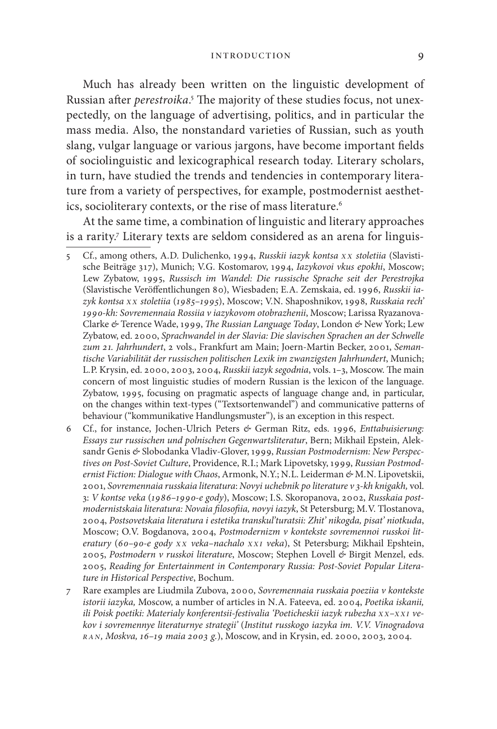## introduction 9

Much has already been written on the linguistic development of Russian after *perestroika*.<sup>5</sup> The majority of these studies focus, not unexpectedly, on the language of advertising, politics, and in particular the mass media. Also, the nonstandard varieties of Russian, such as youth slang, vulgar language or various jargons, have become important fields of sociolinguistic and lexicographical research today. Literary scholars, in turn, have studied the trends and tendencies in contemporary literature from a variety of perspectives, for example, postmodernist aesthetics, socioliterary contexts, or the rise of mass literature.<sup>6</sup>

At the same time, a combination of linguistic and literary approaches is a rarity.7 Literary texts are seldom considered as an arena for linguis-

5 Cf., among others, A. D. Dulichenko, 1994, *Russkii iazyk kontsa x x stoletiia* (Slavistische Beiträge 317), Munich; V. G. Kostomarov, 1994, *Iazykovoi vkus epokhi*, Moscow; Lew Zybatow, 1995, *Russisch im Wandel: Die russische Sprache seit der Perestrojka* (Slavistische Veröffentlichungen 80), Wiesbaden; E.A. Zemskaia, ed. 1996, Russkii ia*zyk kontsa x x stoletiia* (*1985–1995*), Moscow; V. N. Shaposhnikov, 1998, *Russkaia rech' 1990-kh: Sovremennaia Rossiia v iazykovom otobrazhenii*, Moscow; Larissa Ryazanova-Clarke & Terence Wade, 1999, *The Russian Language Today*, London & New York; Lew Zybatow, ed. 2000, *Sprachwandel in der Slavia: Die slavischen Sprachen an der Schwelle zum 21. Jahrhundert*, 2 vols., Frankfurt am Main; Joern-Martin Becker, 2001, *Semantische Variabilität der russischen politischen Lexik im zwanzigsten Jahrhundert*, Munich; L.P. Krysin, ed. 2000, 2003, 2004, *Russkii iazyk segodnia*, vols. 1-3, Moscow. The main concern of most linguistic studies of modern Russian is the lexicon of the language. Zybatow, 1995, focusing on pragmatic aspects of language change and, in particular, on the changes within text-types ("Textsortenwandel") and communicative patterns of behaviour ("kommunikative Handlungsmuster"), is an exception in this respect.

- 6 Cf., for instance, Jochen-Ulrich Peters *&* German Ritz, eds. 1996, *Enttabuisierung: Essays zur russischen und polnischen Gegenwartsliteratur*, Bern; Mikhail Epstein, Aleksandr Genis *&* Slobodanka Vladiv-Glover, 1999, *Russian Postmodernism: New Perspectives on Post-Soviet Culture*, Providence, R. I.; Mark Lipovetsky, 1999, *Russian Postmodernist Fiction: Dialogue with Chaos*, Armonk, N.Y.; N. L. Leiderman *&* M. N. Lipovetskii, 2001, *Sovremennaia russkaia literatura*: *Novyi uchebnik po literature v 3-kh knigakh,* vol. 3: *V kontse veka* (*1986–1990-e gody*), Moscow; I. S. Skoropanova, 2002, *Russkaia postmodernistskaia literatura: Novaia fi losofi ia, novyi iazyk*, St Petersburg; M. V. Tlostanova, 2004, *Postsovetskaia literatura i estetika transkul'turatsii: Zhit' nikogda, pisat' niotkuda*, Moscow; O.V. Bogdanova, 2004, *Postmodernizm v kontekste sovremennoi russkoi literatury* (*60–90-e gody x x veka–nachalo xxi veka*), St Petersburg; Mikhail Epshtein, 2005, *Postmodern v russkoi literature*, Moscow; Stephen Lovell *&* Birgit Menzel, eds. 2005, *Reading for Entertainment in Contemporary Russia: Post-Soviet Popular Literature in Historical Perspective*, Bochum.
- 7 Rare examples are Liudmila Zubova, 2000, *Sovremennaia russkaia poeziia v kontekste istorii iazyka,* Moscow, a number of articles in N. A. Fateeva, ed. 2004, *Poetika iskanii, ili Poisk poetiki: Materialy konferentsii-festivalia 'Poeticheskii iazyk rubezha x x–xxi vekov i sovremennye literaturnye strategii'* (*Institut russkogo iazyka im. V.V. Vino gradova ran, Moskva, 16–19 maia 2003 g.*), Moscow, and in Krysin, ed. 2000, 2003, 2004.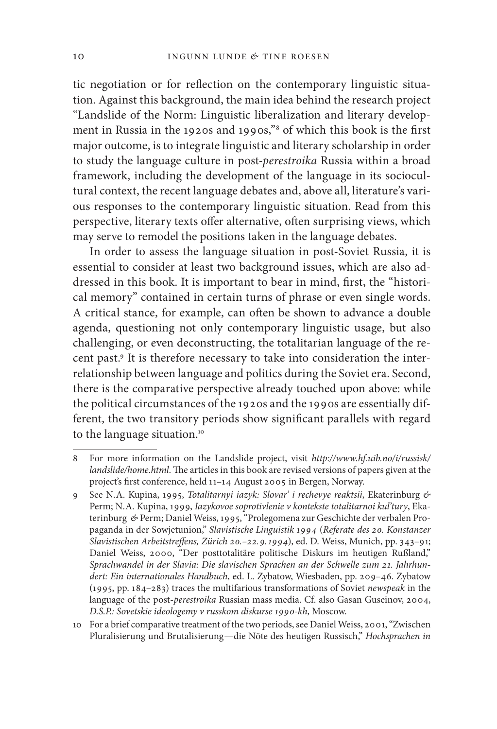tic negotiation or for reflection on the contemporary linguistic situation. Against this background, the main idea behind the research project "Landslide of the Norm: Linguistic liberalization and literary development in Russia in the 1920s and 1990s,"<sup>8</sup> of which this book is the first major outcome, is to integrate linguistic and literary scholarship in order to study the language culture in post-*perestroika* Russia within a broad framework, including the development of the language in its sociocultural context, the recent language debates and, above all, literature's various responses to the contemporary linguistic situation. Read from this perspective, literary texts offer alternative, often surprising views, which may serve to remodel the positions taken in the language debates.

In order to assess the language situation in post-Soviet Russia, it is essential to consider at least two background issues, which are also addressed in this book. It is important to bear in mind, first, the "historical memory" contained in certain turns of phrase or even single words. A critical stance, for example, can often be shown to advance a double agenda, questioning not only contemporary linguistic usage, but also challenging, or even deconstructing, the totalitarian language of the recent past.<sup>9</sup> It is therefore necessary to take into consideration the interrelationship between language and politics during the Soviet era. Second, there is the comparative perspective already touched upon above: while the political circumstances of the 1920s and the 1990s are essentially different, the two transitory periods show significant parallels with regard to the language situation.<sup>10</sup>

<sup>8</sup> For more information on the Landslide project, visit *http://www.hf.uib.no/i/russisk/ landslide/home.html*. The articles in this book are revised versions of papers given at the project's first conference, held 11-14 August 2005 in Bergen, Norway.

<sup>9</sup> See N. A. Kupina, 1995, *Totalitarnyi iazyk: Slovar' i rechevye reaktsii*, Ekaterinburg *&*  Perm; N. A. Kupina, 1999, *Iazykovoe soprotivlenie v kontekste totalitarnoi kul'tury*, Ekaterinburg *&* Perm; Daniel Weiss, 1995, "Prolegomena zur Geschichte der verbalen Propaganda in der Sowjet union," *Slavistische Linguistik 1994* (*Referate des 20. Konstanzer*  Slavistischen Arbeitstreffens, Zürich 20.-22. 9. 1994), ed. D. Weiss, Munich, pp. 343-91; Daniel Weiss, 2000, "Der posttotalitäre politische Diskurs im heutigen Rußland," *Sprachwandel in der Slavia: Die slavischen Sprachen an der Schwelle zum 21. Jahrhundert: Ein internationales Handbuch*, ed. L. Zybatow, Wiesbaden, pp. 209–46. Zybatow (1995, pp. 184–283) traces the multifarious transformations of Soviet *newspeak* in the language of the post-*perestroika* Russian mass media. Cf. also Gasan Guseinov, 2004, *D.S.P.: Sovetskie ideo logemy v russkom diskurse 1990-kh*, Moscow.

<sup>10</sup> For a brief comparative treatment of the two periods, see Daniel Weiss, 2001, "Zwischen Pluralisierung und Brutalisierung — die Nöte des heutigen Russisch," *Hochsprachen in*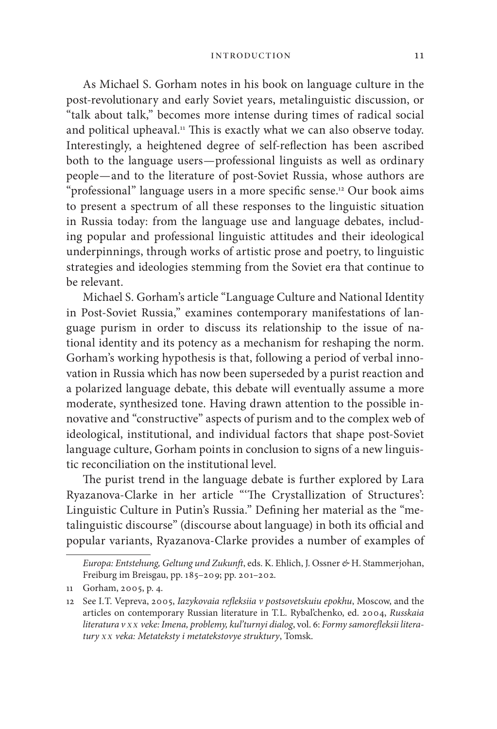As Michael S. Gorham notes in his book on language culture in the post-revolutionary and early Soviet years, metalinguistic discussion, or "talk about talk," becomes more intense during times of radical social and political upheaval.<sup>11</sup> This is exactly what we can also observe today. Interestingly, a heightened degree of self-reflection has been ascribed both to the language users — professional linguists as well as ordinary people — and to the literature of post-Soviet Russia, whose authors are "professional" language users in a more specific sense.<sup>12</sup> Our book aims to present a spectrum of all these responses to the linguistic situation in Russia today: from the language use and language debates, including popular and professional linguistic attitudes and their ideological underpinnings, through works of artistic prose and poetry, to linguistic strategies and ideologies stemming from the Soviet era that continue to be relevant.

Michael S. Gorham's article "Language Culture and National Identity in Post-Soviet Russia," examines contemporary manifestations of language purism in order to discuss its relationship to the issue of national identity and its potency as a mechanism for reshaping the norm. Gorham's working hypothesis is that, following a period of verbal innovation in Russia which has now been superseded by a purist reaction and a polarized language debate, this debate will eventually assume a more moderate, synthesized tone. Having drawn attention to the possible innovative and "constructive" aspects of purism and to the complex web of ideological, institutional, and individual factors that shape post-Soviet language culture, Gorham points in conclusion to signs of a new linguistic reconciliation on the institutional level.

The purist trend in the language debate is further explored by Lara Ryazanova-Clarke in her article "'The Crystallization of Structures': Linguistic Culture in Putin's Russia." Defining her material as the "metalinguistic discourse" (discourse about language) in both its official and popular variants, Ryazanova-Clarke provides a number of examples of

*Europa: Entstehung, Geltung und Zukunft*, eds. K. Ehlich, J. Ossner *&* H. Stammerjohan, Freiburg im Breisgau, pp. 185–209; pp. 201–202.

<sup>11</sup> Gorham, 2005, p. 4.

<sup>12</sup> See I.T. Vepreva, 2005, *Iazykovaia refleksiia v postsovetskuiu epokhu*, Moscow, and the articles on contemporary Russian literature in T. L. Rybal'chenko, ed. 2004, *Russkaia*  literatura v *x x* veke: Imena, problemy, kul'turnyi dialog, vol. 6: Formy samorefleksii litera*tury x x veka: Metateksty i metatekstovye struktury*, Tomsk.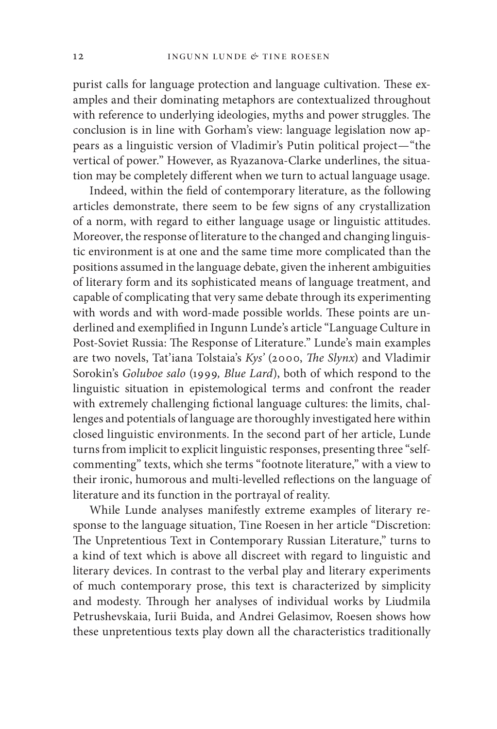purist calls for language protection and language cultivation. These examples and their dominating metaphors are contextualized throughout with reference to underlying ideologies, myths and power struggles. The conclusion is in line with Gorham's view: language legislation now appears as a linguistic version of Vladimir's Putin political project — "the vertical of power." However, as Ryazanova-Clarke underlines, the situation may be completely different when we turn to actual language usage.

Indeed, within the field of contemporary literature, as the following articles demonstrate, there seem to be few signs of any crystallization of a norm, with regard to either language usage or linguistic attitudes. Moreover, the response of literature to the changed and changing linguistic environment is at one and the same time more complicated than the positions assumed in the language debate, given the inherent ambiguities of literary form and its sophisticated means of language treatment, and capable of complicating that very same debate through its experimenting with words and with word-made possible worlds. These points are underlined and exemplified in Ingunn Lunde's article "Language Culture in Post-Soviet Russia: The Response of Literature." Lunde's main examples are two novels, Tat'iana Tolstaia's *Kys'* (2000, *The Slynx*) and Vladimir Sorokin's *Goluboe salo* (1999*, Blue Lard*), both of which respond to the linguistic situation in epistemological terms and confront the reader with extremely challenging fictional language cultures: the limits, challenges and potentials of language are thoroughly investigated here within closed linguistic environments. In the second part of her article, Lunde turns from implicit to explicit linguistic responses, presenting three "selfcommenting" texts, which she terms "footnote literature," with a view to their ironic, humorous and multi-levelled reflections on the language of literature and its function in the portrayal of reality.

While Lunde analyses manifestly extreme examples of literary response to the language situation, Tine Roesen in her article "Discretion: The Unpretentious Text in Contemporary Russian Literature," turns to a kind of text which is above all discreet with regard to linguistic and literary devices. In contrast to the verbal play and literary experiments of much contemporary prose, this text is characterized by simplicity and modesty. Through her analyses of individual works by Liudmila Petrushevskaia, Iurii Buida, and Andrei Gelasimov, Roesen shows how these unpretentious texts play down all the characteristics traditionally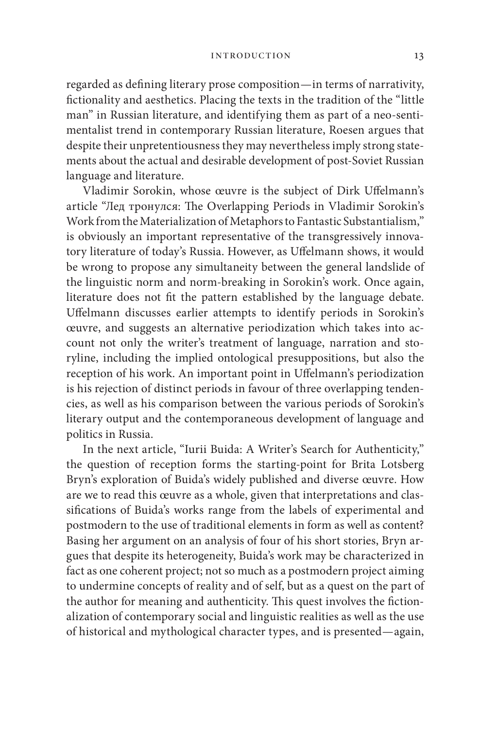regarded as defining literary prose composition—in terms of narrativity, fictionality and aesthetics. Placing the texts in the tradition of the "little man" in Russian literature, and identifying them as part of a neo-sentimentalist trend in contemporary Russian literature, Roesen argues that despite their unpretentiousness they may nevertheless imply strong statements about the actual and desirable development of post-Soviet Russian language and literature.

Vladimir Sorokin, whose œuvre is the subject of Dirk Uffelmann's article "Лед тронулся: The Overlapping Periods in Vladimir Sorokin's Work from the Materialization of Metaphors to Fantastic Substantialism," is obviously an important representative of the transgressively innovatory literature of today's Russia. However, as Uffelmann shows, it would be wrong to propose any simultaneity between the general landslide of the linguistic norm and norm-breaking in Sorokin's work. Once again, literature does not fit the pattern established by the language debate. Uffelmann discusses earlier attempts to identify periods in Sorokin's œuvre, and suggests an alternative periodization which takes into account not only the writer's treatment of language, narration and storyline, including the implied ontological presuppositions, but also the reception of his work. An important point in Uffelmann's periodization is his rejection of distinct periods in favour of three overlapping tendencies, as well as his comparison between the various periods of Sorokin's literary output and the contemporaneous development of language and politics in Russia.

In the next article, "Iurii Buida: A Writer's Search for Authenticity," the question of reception forms the starting-point for Brita Lotsberg Bryn's exploration of Buida's widely published and diverse œuvre. How are we to read this œuvre as a whole, given that interpretations and classifications of Buida's works range from the labels of experimental and postmodern to the use of traditional elements in form as well as content? Basing her argument on an analysis of four of his short stories, Bryn argues that despite its heterogeneity, Buida's work may be characterized in fact as one coherent project; not so much as a postmodern project aiming to undermine concepts of reality and of self, but as a quest on the part of the author for meaning and authenticity. This quest involves the fictionalization of contemporary social and linguistic realities as well as the use of historical and mythological character types, and is presented — again,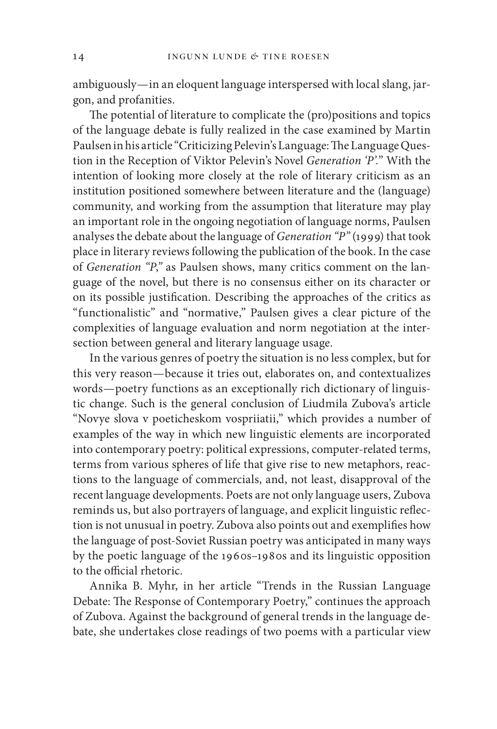ambiguously — in an eloquent language interspersed with local slang, jargon, and profanities.

The potential of literature to complicate the (pro)positions and topics of the language debate is fully realized in the case examined by Martin Paulsen in his article "Criticizing Pelevin's Language: The Language Question in the Reception of Viktor Pelevin's Novel *Generation 'P'.*" With the intention of looking more closely at the role of literary criticism as an institution positioned somewhere between literature and the (language) community, and working from the assumption that literature may play an important role in the ongoing negotiation of language norms, Paulsen analyses the debate about the language of *Generation "P"* (1999) that took place in literary reviews following the publication of the book. In the case of *Generation "P*,*"* as Paulsen shows, many critics comment on the language of the novel, but there is no consensus either on its character or on its possible justification. Describing the approaches of the critics as "functionalistic" and "normative," Paulsen gives a clear picture of the complexities of language evaluation and norm negotiation at the intersection between general and literary language usage.

In the various genres of poetry the situation is no less complex, but for this very reason — because it tries out, elaborates on, and contextualizes words — poetry functions as an exceptionally rich dictionary of linguistic change. Such is the general conclusion of Liudmila Zubova's article "Novye slova v poeticheskom vospriiatii," which provides a number of examples of the way in which new linguistic elements are incorporated into contemporary poetry: political expressions, computer-related terms, terms from various spheres of life that give rise to new metaphors, reactions to the language of commercials, and, not least, disapproval of the recent language developments. Poets are not only language users, Zubova reminds us, but also portrayers of language, and explicit linguistic reflection is not unusual in poetry. Zubova also points out and exemplifies how the language of post-Soviet Russian poetry was anticipated in many ways by the poetic language of the 1960s–1980s and its linguistic opposition to the official rhetoric.

Annika B. Myhr, in her article "Trends in the Russian Language Debate: The Response of Contemporary Poetry," continues the approach of Zubova. Against the background of general trends in the language debate, she undertakes close readings of two poems with a particular view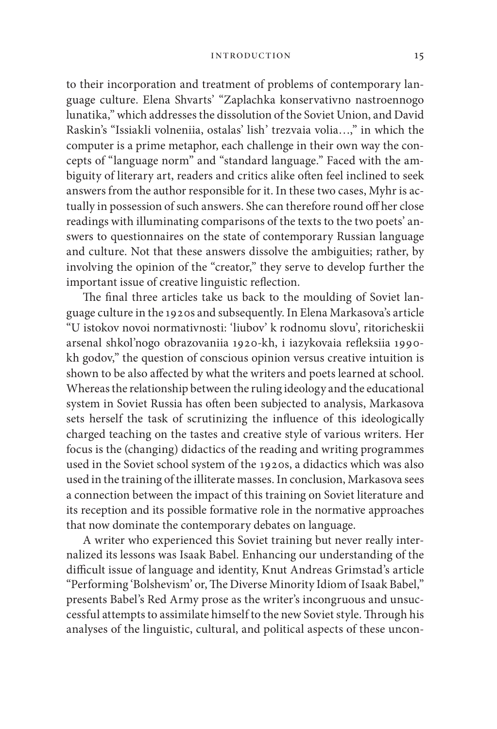to their incorporation and treatment of problems of contemporary language culture. Elena Shvarts' "Zaplachka konservativno nastroennogo lunatika," which addresses the dissolution of the Soviet Union, and David Raskin's "Issiakli volneniia, ostalas' lish' trezvaia volia…," in which the computer is a prime metaphor, each challenge in their own way the concepts of "language norm" and "standard language." Faced with the ambiguity of literary art, readers and critics alike often feel inclined to seek answers from the author responsible for it. In these two cases, Myhr is actually in possession of such answers. She can therefore round off her close readings with illuminating comparisons of the texts to the two poets' answers to questionnaires on the state of contemporary Russian language and culture. Not that these answers dissolve the ambiguities; rather, by involving the opinion of the "creator," they serve to develop further the important issue of creative linguistic reflection.

The final three articles take us back to the moulding of Soviet language culture in the 1920s and subsequently. In Elena Markasova's article "U istokov novoi normativnosti: 'liubov' k rodnomu slovu', ritoricheskii arsenal shkol'nogo obrazovaniia 1920-kh, i iazykovaia refleksiia 1990kh godov," the question of conscious opinion versus creative intuition is shown to be also affected by what the writers and poets learned at school. Whereas the relationship between the ruling ideology and the educational system in Soviet Russia has often been subjected to analysis, Markasova sets herself the task of scrutinizing the influence of this ideologically charged teaching on the tastes and creative style of various writers. Her focus is the (changing) didactics of the reading and writing programmes used in the Soviet school system of the 1920s, a didactics which was also used in the training of the illiterate masses. In conclusion, Markasova sees a connection between the impact of this training on Soviet literature and its reception and its possible formative role in the normative approaches that now dominate the contemporary debates on language.

A writer who experienced this Soviet training but never really internalized its lessons was Isaak Babel. Enhancing our understanding of the difficult issue of language and identity, Knut Andreas Grimstad's article "Performing 'Bolshevism' or, The Diverse Minority Idiom of Isaak Babel," presents Babel's Red Army prose as the writer's incongruous and unsuccessful attempts to assimilate himself to the new Soviet style. Through his analyses of the linguistic, cultural, and political aspects of these uncon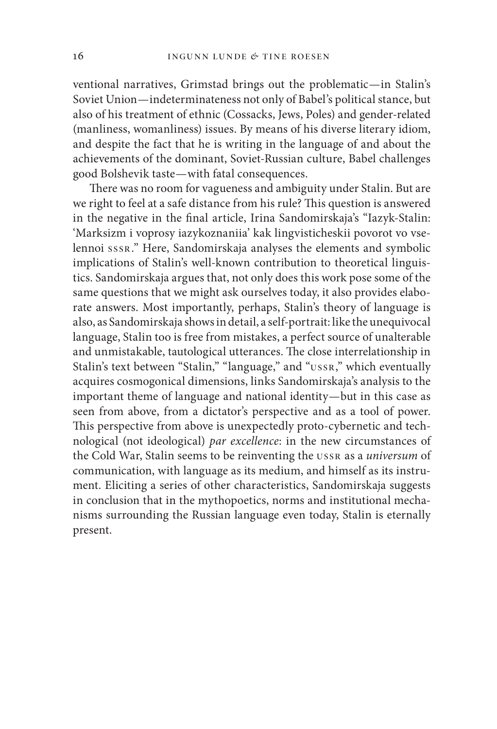ventional narratives, Grimstad brings out the problematic-in Stalin's Soviet Union — indeterminateness not only of Babel's political stance, but also of his treatment of ethnic (Cossacks, Jews, Poles) and gender-related (manliness, womanliness) issues. By means of his diverse literary idiom, and despite the fact that he is writing in the language of and about the achievements of the dominant, Soviet-Russian culture, Babel challenges good Bolshevik taste — with fatal consequences.

There was no room for vagueness and ambiguity under Stalin. But are we right to feel at a safe distance from his rule? This question is answered in the negative in the final article, Irina Sandomirskaja's "Iazyk-Stalin: 'Marksizm i voprosy iazykoznaniia' kak lingvisticheskii povorot vo vselennoi sssr." Here, Sandomirskaja analyses the elements and symbolic implications of Stalin's well-known contribution to theoretical linguistics. Sandomirskaja argues that, not only does this work pose some of the same questions that we might ask ourselves today, it also provides elaborate answers. Most importantly, perhaps, Stalin's theory of language is also, as Sandomirskaja shows in detail, a self-portrait: like the unequivocal language, Stalin too is free from mistakes, a perfect source of unalterable and unmistakable, tautological utterances. The close interrelationship in Stalin's text between "Stalin," "language," and "ussr," which eventually acquires cosmogonical dimensions, links Sandomirskaja's analysis to the important theme of language and national identity — but in this case as seen from above, from a dictator's perspective and as a tool of power. This perspective from above is unexpectedly proto-cybernetic and technological (not ideological) *par excellence*: in the new circumstances of the Cold War, Stalin seems to be reinventing the ussr as a *universum* of communication, with language as its medium, and himself as its instrument. Eliciting a series of other characteristics, Sandomirskaja suggests in conclusion that in the mythopoetics, norms and institutional mechanisms surrounding the Russian language even today, Stalin is eternally present.